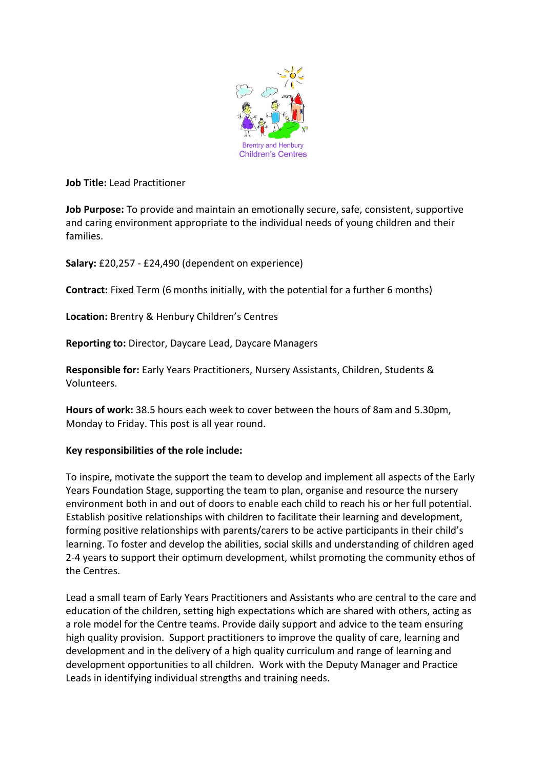

**Job Title:** Lead Practitioner

**Job Purpose:** To provide and maintain an emotionally secure, safe, consistent, supportive and caring environment appropriate to the individual needs of young children and their families.

**Salary:** £20,257 - £24,490 (dependent on experience)

**Contract:** Fixed Term (6 months initially, with the potential for a further 6 months)

**Location:** Brentry & Henbury Children's Centres

**Reporting to:** Director, Daycare Lead, Daycare Managers

**Responsible for:** Early Years Practitioners, Nursery Assistants, Children, Students & Volunteers.

**Hours of work:** 38.5 hours each week to cover between the hours of 8am and 5.30pm, Monday to Friday. This post is all year round.

#### **Key responsibilities of the role include:**

To inspire, motivate the support the team to develop and implement all aspects of the Early Years Foundation Stage, supporting the team to plan, organise and resource the nursery environment both in and out of doors to enable each child to reach his or her full potential. Establish positive relationships with children to facilitate their learning and development, forming positive relationships with parents/carers to be active participants in their child's learning. To foster and develop the abilities, social skills and understanding of children aged 2-4 years to support their optimum development, whilst promoting the community ethos of the Centres.

Lead a small team of Early Years Practitioners and Assistants who are central to the care and education of the children, setting high expectations which are shared with others, acting as a role model for the Centre teams. Provide daily support and advice to the team ensuring high quality provision. Support practitioners to improve the quality of care, learning and development and in the delivery of a high quality curriculum and range of learning and development opportunities to all children. Work with the Deputy Manager and Practice Leads in identifying individual strengths and training needs.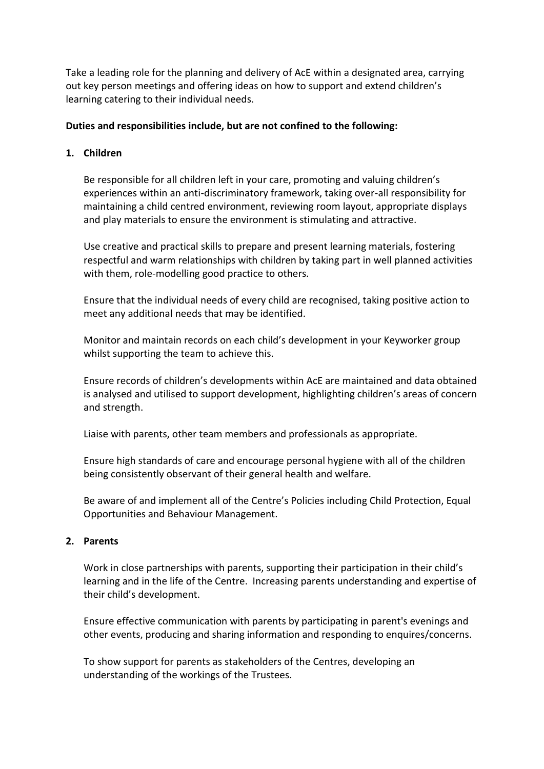Take a leading role for the planning and delivery of AcE within a designated area, carrying out key person meetings and offering ideas on how to support and extend children's learning catering to their individual needs.

## **Duties and responsibilities include, but are not confined to the following:**

# **1. Children**

Be responsible for all children left in your care, promoting and valuing children's experiences within an anti-discriminatory framework, taking over-all responsibility for maintaining a child centred environment, reviewing room layout, appropriate displays and play materials to ensure the environment is stimulating and attractive.

Use creative and practical skills to prepare and present learning materials, fostering respectful and warm relationships with children by taking part in well planned activities with them, role-modelling good practice to others.

Ensure that the individual needs of every child are recognised, taking positive action to meet any additional needs that may be identified.

Monitor and maintain records on each child's development in your Keyworker group whilst supporting the team to achieve this.

Ensure records of children's developments within AcE are maintained and data obtained is analysed and utilised to support development, highlighting children's areas of concern and strength.

Liaise with parents, other team members and professionals as appropriate.

Ensure high standards of care and encourage personal hygiene with all of the children being consistently observant of their general health and welfare.

Be aware of and implement all of the Centre's Policies including Child Protection, Equal Opportunities and Behaviour Management.

#### **2. Parents**

Work in close partnerships with parents, supporting their participation in their child's learning and in the life of the Centre. Increasing parents understanding and expertise of their child's development.

Ensure effective communication with parents by participating in parent's evenings and other events, producing and sharing information and responding to enquires/concerns.

To show support for parents as stakeholders of the Centres, developing an understanding of the workings of the Trustees.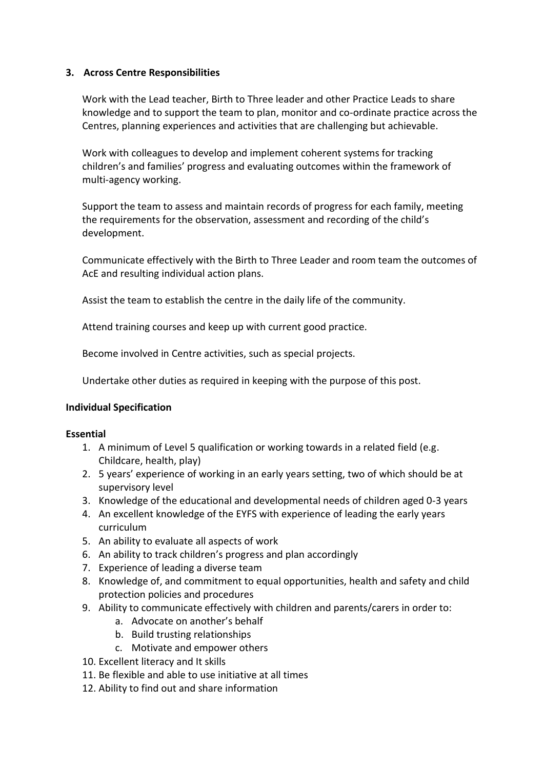# **3. Across Centre Responsibilities**

Work with the Lead teacher, Birth to Three leader and other Practice Leads to share knowledge and to support the team to plan, monitor and co-ordinate practice across the Centres, planning experiences and activities that are challenging but achievable.

Work with colleagues to develop and implement coherent systems for tracking children's and families' progress and evaluating outcomes within the framework of multi-agency working.

Support the team to assess and maintain records of progress for each family, meeting the requirements for the observation, assessment and recording of the child's development.

Communicate effectively with the Birth to Three Leader and room team the outcomes of AcE and resulting individual action plans.

Assist the team to establish the centre in the daily life of the community.

Attend training courses and keep up with current good practice.

Become involved in Centre activities, such as special projects.

Undertake other duties as required in keeping with the purpose of this post.

#### **Individual Specification**

#### **Essential**

- 1. A minimum of Level 5 qualification or working towards in a related field (e.g. Childcare, health, play)
- 2. 5 years' experience of working in an early years setting, two of which should be at supervisory level
- 3. Knowledge of the educational and developmental needs of children aged 0-3 years
- 4. An excellent knowledge of the EYFS with experience of leading the early years curriculum
- 5. An ability to evaluate all aspects of work
- 6. An ability to track children's progress and plan accordingly
- 7. Experience of leading a diverse team
- 8. Knowledge of, and commitment to equal opportunities, health and safety and child protection policies and procedures
- 9. Ability to communicate effectively with children and parents/carers in order to:
	- a. Advocate on another's behalf
	- b. Build trusting relationships
	- c. Motivate and empower others
- 10. Excellent literacy and It skills
- 11. Be flexible and able to use initiative at all times
- 12. Ability to find out and share information